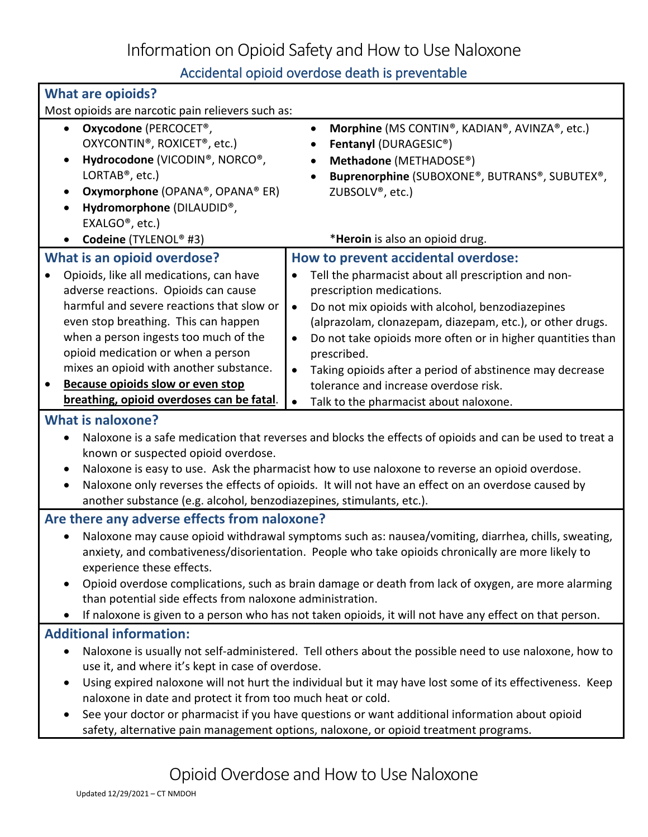Information on Opioid Safety and How to Use Naloxone

Accidental opioid overdose death is preventable

|                                                                                                                       | Accidental opioid overdose death is preventable                          |  |
|-----------------------------------------------------------------------------------------------------------------------|--------------------------------------------------------------------------|--|
| <b>What are opioids?</b>                                                                                              |                                                                          |  |
| Most opioids are narcotic pain relievers such as:                                                                     |                                                                          |  |
| Oxycodone (PERCOCET <sup>®</sup> ,<br>$\bullet$                                                                       | Morphine (MS CONTIN®, KADIAN®, AVINZA®, etc.)<br>$\bullet$               |  |
| OXYCONTIN <sup>®</sup> , ROXICET <sup>®</sup> , etc.)                                                                 | Fentanyl (DURAGESIC®)                                                    |  |
| Hydrocodone (VICODIN®, NORCO®,<br>$\bullet$                                                                           | Methadone (METHADOSE®)                                                   |  |
| LORTAB <sup>®</sup> , etc.)                                                                                           | Buprenorphine (SUBOXONE®, BUTRANS®, SUBUTEX®,                            |  |
| Oxymorphone (OPANA®, OPANA® ER)<br>$\bullet$                                                                          | ZUBSOLV <sup>®</sup> , etc.)                                             |  |
| Hydromorphone (DILAUDID®,<br>$\bullet$                                                                                |                                                                          |  |
| EXALGO <sup>®</sup> , etc.)                                                                                           |                                                                          |  |
| Codeine (TYLENOL® #3)                                                                                                 | *Heroin is also an opioid drug.                                          |  |
| <b>What is an opioid overdose?</b>                                                                                    | How to prevent accidental overdose:                                      |  |
| Opioids, like all medications, can have                                                                               | Tell the pharmacist about all prescription and non-<br>$\bullet$         |  |
| adverse reactions. Opioids can cause                                                                                  | prescription medications.                                                |  |
| harmful and severe reactions that slow or                                                                             | Do not mix opioids with alcohol, benzodiazepines<br>$\bullet$            |  |
| even stop breathing. This can happen                                                                                  | (alprazolam, clonazepam, diazepam, etc.), or other drugs.                |  |
| when a person ingests too much of the                                                                                 | Do not take opioids more often or in higher quantities than<br>$\bullet$ |  |
| opioid medication or when a person                                                                                    | prescribed.                                                              |  |
| mixes an opioid with another substance.                                                                               | Taking opioids after a period of abstinence may decrease<br>$\bullet$    |  |
| <b>Because opioids slow or even stop</b>                                                                              | tolerance and increase overdose risk.                                    |  |
| breathing, opioid overdoses can be fatal.                                                                             | Talk to the pharmacist about naloxone.<br>$\bullet$                      |  |
| <b>What is naloxone?</b>                                                                                              |                                                                          |  |
| Naloxone is a safe medication that reverses and blocks the effects of opioids and can be used to treat a<br>$\bullet$ |                                                                          |  |
| known or suspected opioid overdose.                                                                                   |                                                                          |  |
| Naloxone is easy to use. Ask the pharmacist how to use naloxone to reverse an opioid overdose.<br>$\bullet$           |                                                                          |  |
| Naloxone only reverses the effects of opioids. It will not have an effect on an overdose caused by<br>$\bullet$       |                                                                          |  |
| another substance (e.g. alcohol, benzodiazepines, stimulants, etc.).                                                  |                                                                          |  |
| Are there any adverse effects from naloxone?                                                                          |                                                                          |  |
| Naloxone may cause opioid withdrawal symptoms such as: nausea/vomiting, diarrhea, chills, sweating,                   |                                                                          |  |
| anxiety, and combativeness/disorientation. People who take opioids chronically are more likely to                     |                                                                          |  |
| experience these effects.                                                                                             |                                                                          |  |
| Opioid overdose complications, such as brain damage or death from lack of oxygen, are more alarming<br>$\bullet$      |                                                                          |  |
| than potential side effects from naloxone administration.                                                             |                                                                          |  |
| If naloxone is given to a person who has not taken opioids, it will not have any effect on that person.               |                                                                          |  |
| <b>Additional information:</b>                                                                                        |                                                                          |  |
| Naloxone is usually not self-administered. Tell others about the possible need to use naloxone, how to<br>$\bullet$   |                                                                          |  |
| use it, and where it's kept in case of overdose.                                                                      |                                                                          |  |
| Using expired naloxone will not hurt the individual but it may have lost some of its effectiveness. Keep<br>$\bullet$ |                                                                          |  |
| naloxone in date and protect it from too much heat or cold.                                                           |                                                                          |  |
| See your doctor or pharmacist if you have questions or want additional information about opioid<br>$\bullet$          |                                                                          |  |
| safety, alternative pain management options, naloxone, or opioid treatment programs.                                  |                                                                          |  |
|                                                                                                                       |                                                                          |  |